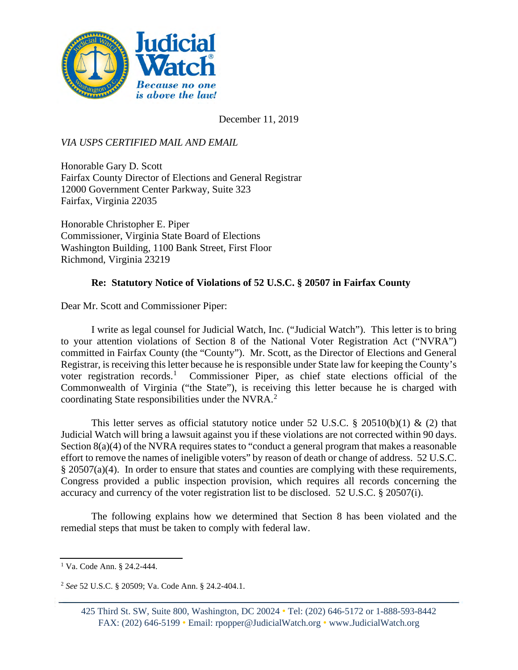

December 11, 2019

*VIA USPS CERTIFIED MAIL AND EMAIL*

Honorable Gary D. Scott Fairfax County Director of Elections and General Registrar 12000 Government Center Parkway, Suite 323 Fairfax, Virginia 22035

Honorable Christopher E. Piper Commissioner, Virginia State Board of Elections Washington Building, 1100 Bank Street, First Floor Richmond, Virginia 23219

## **Re: Statutory Notice of Violations of 52 U.S.C. § 20507 in Fairfax County**

Dear Mr. Scott and Commissioner Piper:

I write as legal counsel for Judicial Watch, Inc. ("Judicial Watch"). This letter is to bring to your attention violations of Section 8 of the National Voter Registration Act ("NVRA") committed in Fairfax County (the "County"). Mr. Scott, as the Director of Elections and General Registrar, is receiving this letter because he is responsible under State law for keeping the County's voter registration records.<sup>[1](#page-0-0)</sup> Commissioner Piper, as chief state elections official of the Commonwealth of Virginia ("the State"), is receiving this letter because he is charged with coordinating State responsibilities under the NVRA. [2](#page-0-1)

This letter serves as official statutory notice under 52 U.S.C.  $\S$  20510(b)(1) & (2) that Judicial Watch will bring a lawsuit against you if these violations are not corrected within 90 days. Section 8(a)(4) of the NVRA requires states to "conduct a general program that makes a reasonable effort to remove the names of ineligible voters" by reason of death or change of address. 52 U.S.C.  $§$  20507(a)(4). In order to ensure that states and counties are complying with these requirements, Congress provided a public inspection provision, which requires all records concerning the accuracy and currency of the voter registration list to be disclosed. 52 U.S.C. § 20507(i).

The following explains how we determined that Section 8 has been violated and the remedial steps that must be taken to comply with federal law.

<span id="page-0-0"></span><sup>1</sup> Va. Code Ann. § 24.2-444.

<span id="page-0-1"></span><sup>2</sup> *See* 52 U.S.C. § 20509; Va. Code Ann. § 24.2-404.1.

<sup>425</sup> Third St. SW, Suite 800, Washington, DC 20024 • Tel: (202) 646-5172 or 1-888-593-8442 FAX: (202) 646-5199 • Email: rpopper@JudicialWatch.org • www.JudicialWatch.org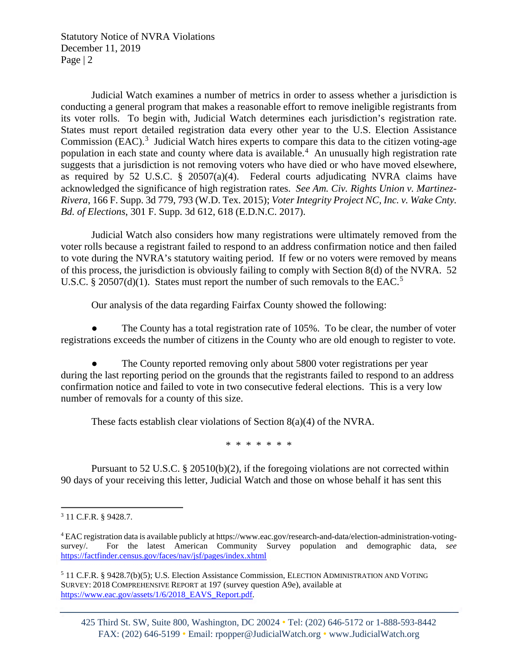Statutory Notice of NVRA Violations December 11, 2019 Page | 2

Judicial Watch examines a number of metrics in order to assess whether a jurisdiction is conducting a general program that makes a reasonable effort to remove ineligible registrants from its voter rolls. To begin with, Judicial Watch determines each jurisdiction's registration rate. States must report detailed registration data every other year to the U.S. Election Assistance Commission (EAC).<sup>[3](#page-1-0)</sup> Judicial Watch hires experts to compare this data to the citizen voting-age population in each state and county where data is available. [4](#page-1-1) An unusually high registration rate suggests that a jurisdiction is not removing voters who have died or who have moved elsewhere, as required by 52 U.S.C. § 20507(a)(4). Federal courts adjudicating NVRA claims have acknowledged the significance of high registration rates. *See Am. Civ. Rights Union v. Martinez-Rivera*, 166 F. Supp. 3d 779, 793 (W.D. Tex. 2015); *Voter Integrity Project NC, Inc. v. Wake Cnty. Bd. of Elections*, 301 F. Supp. 3d 612, 618 (E.D.N.C. 2017).

Judicial Watch also considers how many registrations were ultimately removed from the voter rolls because a registrant failed to respond to an address confirmation notice and then failed to vote during the NVRA's statutory waiting period. If few or no voters were removed by means of this process, the jurisdiction is obviously failing to comply with Section 8(d) of the NVRA. 52 U.S.C. § 20[5](#page-1-2)07(d)(1). States must report the number of such removals to the EAC.<sup>5</sup>

Our analysis of the data regarding Fairfax County showed the following:

The County has a total registration rate of  $105\%$ . To be clear, the number of voter registrations exceeds the number of citizens in the County who are old enough to register to vote.

The County reported removing only about 5800 voter registrations per year during the last reporting period on the grounds that the registrants failed to respond to an address confirmation notice and failed to vote in two consecutive federal elections. This is a very low number of removals for a county of this size.

These facts establish clear violations of Section 8(a)(4) of the NVRA.

\* \* \* \* \* \* \*

Pursuant to 52 U.S.C. § 20510(b)(2), if the foregoing violations are not corrected within 90 days of your receiving this letter, Judicial Watch and those on whose behalf it has sent this

425 Third St. SW, Suite 800, Washington, DC 20024 • Tel: (202) 646-5172 or 1-888-593-8442 FAX: (202) 646-5199 • Email: rpopper@JudicialWatch.org • www.JudicialWatch.org

<span id="page-1-0"></span><sup>3</sup> 11 C.F.R. § 9428.7.

<span id="page-1-1"></span><sup>4</sup> EAC registration data is available publicly at https://www.eac.gov/research-and-data/election-administration-votingsurvey/. For the latest American Community Survey population and demographic data, *see* <https://factfinder.census.gov/faces/nav/jsf/pages/index.xhtml>

<span id="page-1-2"></span><sup>5</sup> 11 C.F.R. § 9428.7(b)(5); U.S. Election Assistance Commission, ELECTION ADMINISTRATION AND VOTING SURVEY: 2018 COMPREHENSIVE REPORT at 197 (survey question A9e), available at [https://www.eac.gov/assets/1/6/2018\\_EAVS\\_Report.pdf.](https://www.eac.gov/assets/1/6/2018_EAVS_Report.pdf)